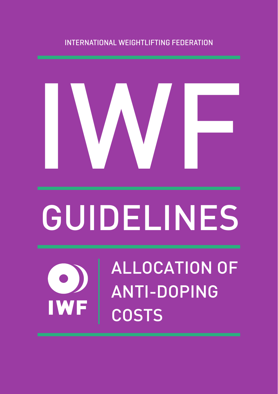### INTERNATIONAL WEIGHTLIFTING FEDERATION



# GUIDELINES

ALLOCATION OF ANTI-DOPING **COSTS**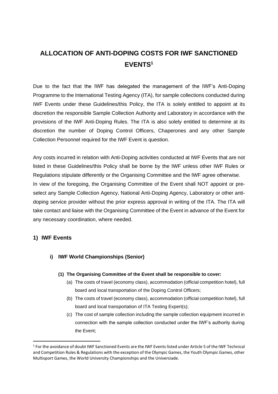# **ALLOCATION OF ANTI-DOPING COSTS FOR IWF SANCTIONED EVENTS<sup>1</sup>**

Due to the fact that the IWF has delegated the management of the IWF's Anti-Doping Programme to the International Testing Agency (ITA), for sample collections conducted during IWF Events under these Guidelines/this Policy, the ITA is solely entitled to appoint at its discretion the responsible Sample Collection Authority and Laboratory in accordance with the provisions of the IWF Anti-Doping Rules. The ITA is also solely entitled to determine at its discretion the number of Doping Control Officers, Chaperones and any other Sample Collection Personnel required for the IWF Event is question.

Any costs incurred in relation with Anti-Doping activities conducted at IWF Events that are not listed in these Guidelines/this Policy shall be borne by the IWF unless other IWF Rules or Regulations stipulate differently or the Organising Committee and the IWF agree otherwise. In view of the foregoing, the Organising Committee of the Event shall NOT appoint or preselect any Sample Collection Agency, National Anti-Doping Agency, Laboratory or other antidoping service provider without the prior express approval in writing of the ITA. The ITA will take contact and liaise with the Organising Committee of the Event in advance of the Event for any necessary coordination, where needed.

#### **1) IWF Events**

#### **i) IWF World Championships (Senior)**

- **(1) The Organising Committee of the Event shall be responsible to cover:**
	- (a) The costs of travel (economy class), accommodation (official competition hotel), full board and local transportation of the Doping Control Officers;
	- (b) The costs of travel (economy class), accommodation (official competition hotel), full board and local transportation of ITA Testing Expert(s);
	- (c) The cost of sample collection including the sample collection equipment incurred in connection with the sample collection conducted under the IWF's authority during the Event;

<sup>&</sup>lt;sup>1</sup> For the avoidance of doubt IWF Sanctioned Events are the IWF Events listed under Article 5 of the IWF Technical and Competition Rules & Regulations with the exception of the Olympic Games, the Youth Olympic Games, other Multisport Games, the World University Championships and the Universiade.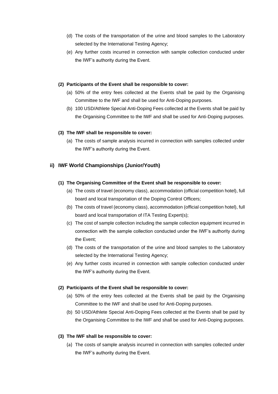- (d) The costs of the transportation of the urine and blood samples to the Laboratory selected by the International Testing Agency;
- (e) Any further costs incurred in connection with sample collection conducted under the IWF's authority during the Event.

#### **(2) Participants of the Event shall be responsible to cover:**

- (a) 50% of the entry fees collected at the Events shall be paid by the Organising Committee to the IWF and shall be used for Anti-Doping purposes.
- (b) 100 USD/Athlete Special Anti-Doping Fees collected at the Events shall be paid by the Organising Committee to the IWF and shall be used for Anti-Doping purposes.

#### **(3) The IWF shall be responsible to cover:**

(a) The costs of sample analysis incurred in connection with samples collected under the IWF's authority during the Event.

#### **ii) IWF World Championships (Junior/Youth)**

#### **(1) The Organising Committee of the Event shall be responsible to cover:**

- (a) The costs of travel (economy class), accommodation (official competition hotel), full board and local transportation of the Doping Control Officers;
- (b) The costs of travel (economy class), accommodation (official competition hotel), full board and local transportation of ITA Testing Expert(s);
- (c) The cost of sample collection including the sample collection equipment incurred in connection with the sample collection conducted under the IWF's authority during the Event;
- (d) The costs of the transportation of the urine and blood samples to the Laboratory selected by the International Testing Agency;
- (e) Any further costs incurred in connection with sample collection conducted under the IWF's authority during the Event.

#### **(2) Participants of the Event shall be responsible to cover:**

- (a) 50% of the entry fees collected at the Events shall be paid by the Organising Committee to the IWF and shall be used for Anti-Doping purposes.
- (b) 50 USD/Athlete Special Anti-Doping Fees collected at the Events shall be paid by the Organising Committee to the IWF and shall be used for Anti-Doping purposes.

#### **(3) The IWF shall be responsible to cover:**

(a) The costs of sample analysis incurred in connection with samples collected under the IWF's authority during the Event.